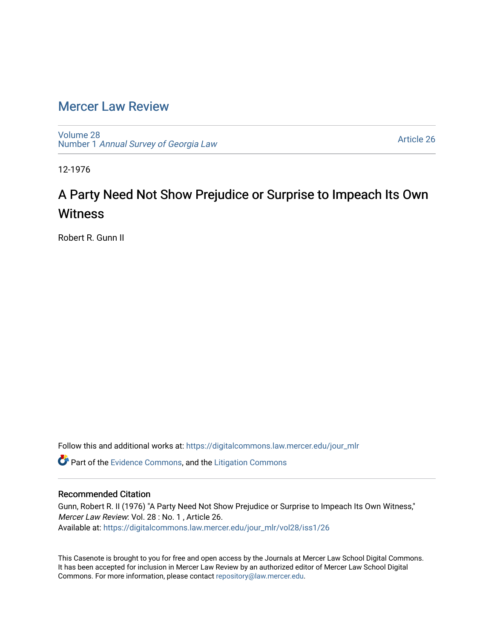## [Mercer Law Review](https://digitalcommons.law.mercer.edu/jour_mlr)

[Volume 28](https://digitalcommons.law.mercer.edu/jour_mlr/vol28) Number 1 [Annual Survey of Georgia Law](https://digitalcommons.law.mercer.edu/jour_mlr/vol28/iss1) 

[Article 26](https://digitalcommons.law.mercer.edu/jour_mlr/vol28/iss1/26) 

12-1976

## A Party Need Not Show Prejudice or Surprise to Impeach Its Own **Witness**

Robert R. Gunn II

Follow this and additional works at: [https://digitalcommons.law.mercer.edu/jour\\_mlr](https://digitalcommons.law.mercer.edu/jour_mlr?utm_source=digitalcommons.law.mercer.edu%2Fjour_mlr%2Fvol28%2Fiss1%2F26&utm_medium=PDF&utm_campaign=PDFCoverPages)

**C** Part of the [Evidence Commons,](http://network.bepress.com/hgg/discipline/601?utm_source=digitalcommons.law.mercer.edu%2Fjour_mlr%2Fvol28%2Fiss1%2F26&utm_medium=PDF&utm_campaign=PDFCoverPages) and the Litigation Commons

## Recommended Citation

Gunn, Robert R. II (1976) "A Party Need Not Show Prejudice or Surprise to Impeach Its Own Witness," Mercer Law Review: Vol. 28 : No. 1 , Article 26. Available at: [https://digitalcommons.law.mercer.edu/jour\\_mlr/vol28/iss1/26](https://digitalcommons.law.mercer.edu/jour_mlr/vol28/iss1/26?utm_source=digitalcommons.law.mercer.edu%2Fjour_mlr%2Fvol28%2Fiss1%2F26&utm_medium=PDF&utm_campaign=PDFCoverPages) 

This Casenote is brought to you for free and open access by the Journals at Mercer Law School Digital Commons. It has been accepted for inclusion in Mercer Law Review by an authorized editor of Mercer Law School Digital Commons. For more information, please contact [repository@law.mercer.edu.](mailto:repository@law.mercer.edu)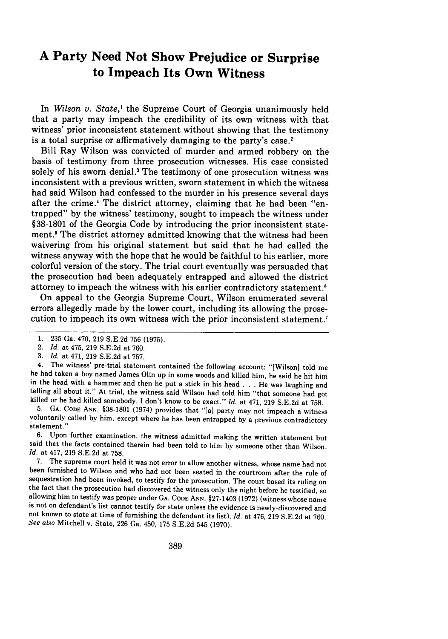## **A Party Need Not Show Prejudice or Surprise to Impeach Its Own Witness**

In *Wilson v. State,'* the Supreme Court of Georgia unanimously held that a party may impeach the credibility of its own witness with that witness' prior inconsistent statement without showing that the testimony is a total surprise or affirmatively damaging to the party's case.<sup>2</sup>

Bill Ray Wilson was convicted of murder and armed robbery on the basis of testimony from three prosecution witnesses. His case consisted solely of his sworn denial.3 The testimony of one prosecution witness was inconsistent with a previous written, sworn statement in which the witness had said Wilson had confessed to the murder in his presence several days after the crime.4 The district attorney, claiming that he had been "entrapped" by the witness' testimony, sought to impeach the witness under §38-1801 of the Georgia Code by introducing the prior inconsistent statement.<sup>5</sup> The district attorney admitted knowing that the witness had been waivering from his original statement but said that he had called the witness anyway with the hope that he would be faithful to his earlier, more colorful version of the story. The trial court eventually was persuaded that the prosecution had been adequately entrapped and allowed the district attorney to impeach the witness with his earlier contradictory statement.<sup>6</sup>

On appeal to the Georgia Supreme Court, Wilson enumerated several errors allegedly made by the lower court, including its allowing the prosecution to impeach its own witness with the prior inconsistent statement.7

5. **GA. CODE ANN.** §38-1801 (1974) provides that "[a] party may not impeach a witness voluntarily called by him, except where he has been entrapped by a previous contradictory statement."

**6.** Upon further examination, the witness admitted making the written statement but said that the facts contained therein had been told to him by someone other than Wilson. *Id.* at 417, 219 S.E.2d at 758.

7. The supreme court held it was not error to allow another witness, whose name had not been furnished to Wilson and who had not been seated in the courtroom after the rule of sequestration had been invoked, to testify for the prosecution. The court based its ruling on<br>the fact that the prosecution had discovered the witness only the night before he testified, so<br>allowing him to testify was prop not known to state at time of furnishing the defendant its list). *Id.* at 476, 219 S.E.2d at 760. *See also* Mitchell v. State, 226 Ga. 450, 175 S.E.2d 545 (1970).

<sup>1. 235</sup> Ga. 470, 219 S.E.2d 756 (1975).

<sup>2.</sup> *Id.* at 475, 219 S.E.2d at 760.

<sup>3.</sup> *Id.* at 471, 219 S.E.2d at 757.

<sup>4.</sup> The witness' pre-trial statement contained the following account: "[Wilson] told me he had taken a boy named James Olin up in some woods and killed him, he said he hit him in the head with a hammer and then he put a stick in his head . . . He was laughing and telling all about it." At trial, the witness said Wilson had told him "that someone had got killed or he had killed somebody. I don't know to be exact." *Id.* at 471, 219 S.E.2d at 758.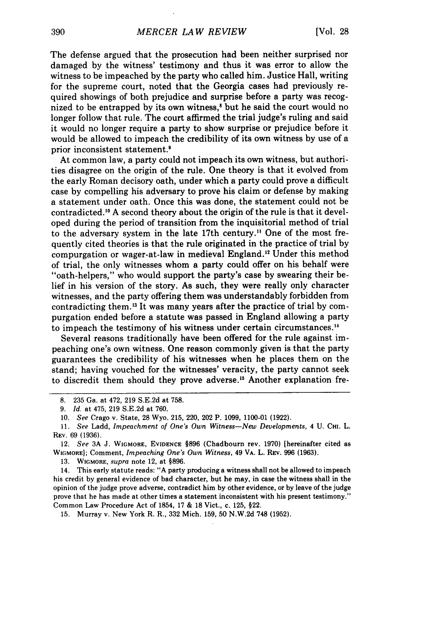The defense argued that the prosecution had been neither surprised nor damaged by the witness' testimony and thus it was error to allow the witness to be impeached by the party who called him. Justice Hall, writing for the supreme court, noted that the Georgia cases had previously required showings of both prejudice and surprise before a party was recognized to be entrapped by its own witness,<sup>8</sup> but he said the court would no longer follow that rule. The court affirmed the trial judge's ruling and said it would no longer require a party to show surprise or prejudice before it would be allowed to impeach the credibility of its own witness by use of a prior inconsistent statement.<sup>9</sup>

At common law, a party could not impeach its own witness, but authorities disagree on the origin of the rule. One theory is that it evolved from the early Roman decisory oath, under which a party could prove a difficult case by compelling his adversary to prove his claim or defense by making a statement under oath. Once this was done, the statement could not be contradicted.'0 A second theory about the origin of the rule is that it developed during the period of transition from the inquisitorial method of trial to the adversary system in the late 17th century.' One of the most frequently cited theories is that the rule originated in the practice of trial by compurgation or wager-at-law in medieval England.<sup>12</sup> Under this method of trial, the only witnesses whom a party could offer on his behalf were "oath-helpers," who would support the party's case by swearing their belief in his version of the story. As such, they were really only character witnesses, and the party offering them was understandably forbidden from contradicting them.<sup>13</sup> It was many years after the practice of trial by compurgation ended before a statute was passed in England allowing a party to impeach the testimony of his witness under certain circumstances."

Several reasons traditionally have been offered for the rule against impeaching one's own witness. One reason commonly given is that the party guarantees the credibility of his witnesses when he places them on the stand; having vouched for the witnesses' veracity, the party cannot seek to discredit them should they prove adverse.<sup>15</sup> Another explanation fre-

13. WIGMORE, *supra* note 12, at §896.

14. This early statute reads: "A party producing a witness shall not be allowed to impeach his credit by general evidence of bad character, but he may, in case the witness shall in the opinion of the judge prove adverse, contradict him by other evidence, or by leave of the judge prove that he has made at other times a statement inconsistent with his present testimony." Common Law Procedure Act of 1854, 17 & 18 Vict., c. 125, §22.

15. Murray v. New York R. R., 332 Mich. 159, 50 N.W.2d 748 (1952).

<sup>8. 235</sup> Ga. at 472, 219 S.E.2d at 758.

*<sup>9.</sup> Id.* at 475, 219 S.E.2d at 760.

<sup>10.</sup> *See* Crago v. State, 28 Wyo. 215, 220, 202 P. 1099, 1100-01 (1922).

**<sup>11.</sup>** *See* Ladd, *Impeachment of One's Own Witness-New Developments,* 4 **U. CHI.** L. REV. 69 (1936).

<sup>12.</sup> *See* **3A** J. **WIGMORE,** EVIDENCE §896 (Chadbourn rev. 1970) [hereinafter cited as **WIGcMORE);** Comment, *Impeaching One's Own Witness,* 49 VA. L. REV. 996 (1963).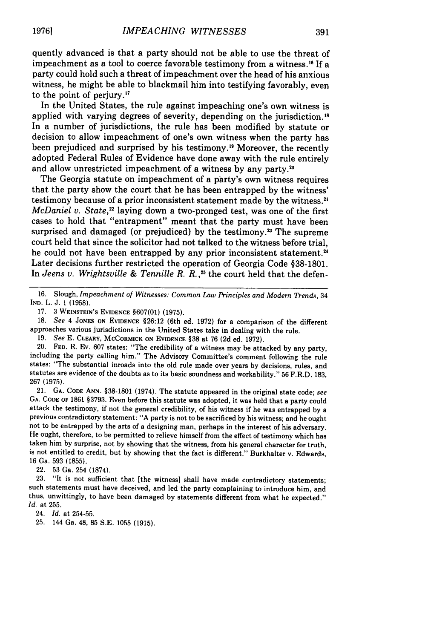quently advanced is that a party should not be able to use the threat of impeachment as a tool to coerce favorable testimony from a witness." If a party could hold such a threat of impeachment over the head of his anxious witness, he might be able to blackmail him into testifying favorably, even to the point of perjury.<sup>17</sup>

In the United States, the rule against impeaching one's own witness is applied with varying degrees of severity, depending on the jurisdiction." In a number of jurisdictions, the rule has been modified by statute or decision to allow impeachment of one's own witness when the party has been prejudiced and surprised by his testimony.<sup>19</sup> Moreover, the recently adopted Federal Rules of Evidence have done away with the rule entirely and allow unrestricted impeachment of a witness by any party.<sup>20</sup>

The Georgia statute on impeachment of a party's own witness requires that the party show the court that he has been entrapped by the witness' testimony because of a prior inconsistent statement made by the witness.<sup>21</sup> *McDaniel v. State*,<sup>22</sup> laying down a two-pronged test, was one of the first cases to hold that "entrapment" meant that the party must have been surprised and damaged (or prejudiced) by the testimony.<sup>23</sup> The supreme court held that since the solicitor had not talked to the witness before trial, he could not have been entrapped by any prior inconsistent statement.<sup>24</sup> Later decisions further restricted the operation of Georgia Code §38-1801. In *Jeens v. Wrightsville & Tennille R. R.*,<sup>25</sup> the court held that the defen-

**16.** Slough, *Impeachment of Witnesses: Common Law Principles and Modern Trends,* <sup>34</sup> IND. L. J. 1 (1958).

17. 3 **WEINSTEIN'S** EVIDENCE §607(01) (1975).

18. *See* 4 JONES ON EVIDENCE §26:12 (6th ed. 1972) for a comparison of the different approaches various jurisdictions in the United States take in dealing with the rule.

19. *See* E. CLEARY, MCCORMICK ON EVIDENCE §38 at 76 (2d ed. 1972).

20. **FED.** R. Ev. 607 states: "The credibility of a witness may be attacked by any party, including the party calling him." The Advisory Committee's comment following the rule states: "The substantial inroads into the old rule made over years by decisions, rules, and statutes are evidence of the doubts as to its basic soundness and workability." 56 F.R.D. 183, 267 (1975).

21. **GA. CODE** ANN. §38-1801 (1974). The statute appeared in the original state code; *see* GA. CODE OF 1861 §3793. Even before this statute was adopted, it was held that a party could attack the testimony, if not the general credibility, of his witness if he was entrapped by a previous contradictory statement: "A party is not to be sacrificed by his witness; and he ought not to be entrapped by the arts of a designing man, perhaps in the interest of his adversary. He ought, therefore, to be permitted to relieve himself from the effect of testimony which has taken him by surprise, not by showing that the witness, from his general character for truth, is not entitled to credit, but by showing that the fact is different." Burkhalter v. Edwards, 16 Ga. 593 **(1855).**

22. 53 Ga. 254 (1874).

**23.** "It is not sufficient that [the witness] shall have made contradictory statements; such statements must have deceived, and led the party complaining to introduce him, and thus, unwittingly, to have been damaged by statements different from what he expected." *Id.* at 255.

24. *Id.* at 254-55.

25. 144 Ga. 48, 85 S.E. 1055 (1915).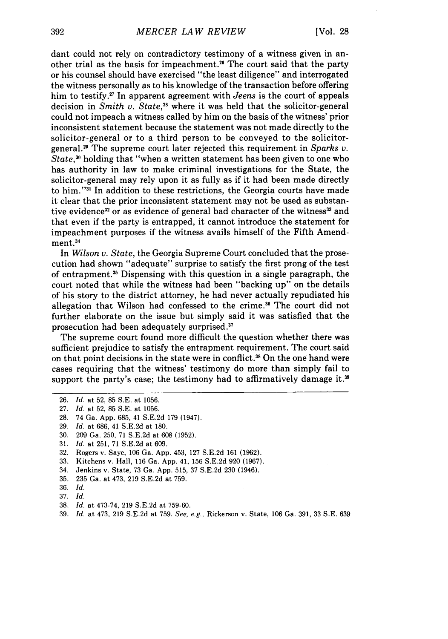dant could not rely on contradictory testimony of a witness given in another trial as the basis for impeachment.26 The court said that the party or his counsel should have exercised "the least diligence" and interrogated the witness personally as to his knowledge of the transaction before offering him to testify. 27 In apparent agreement with *Jeens* is the court of appeals decision in *Smith v. State,28* where it was held that the solicitor-general could not impeach a witness called by him on the basis of the witness' prior inconsistent statement because the statement was not made directly to the solicitor-general or to a third person to be conveyed to the solicitorgeneral. 9 The supreme court later rejected this requirement in *Sparks v. State,30* holding that "when a written statement has been given to one who has authority in law to make criminal investigations for the State, the solicitor-general may rely upon it as fully as if it had been made directly to him."<sup>31</sup> In addition to these restrictions, the Georgia courts have made it clear that the prior inconsistent statement may not be used as substantive evidence<sup>32</sup> or as evidence of general bad character of the witness<sup>33</sup> and that even if the party is entrapped, it cannot introduce the statement for impeachment purposes if the witness avails himself of the Fifth Amendment.<sup>3</sup>

In *Wilson v. State,* the Georgia Supreme Court concluded that the prosecution had shown "adequate" surprise to satisfy the first prong of the test of entrapment.<sup>35</sup> Dispensing with this question in a single paragraph, the court noted that while the witness had been "backing up" on the details of his story to the district attorney, he had never actually repudiated his allegation that Wilson had confessed to the crime **. <sup>3</sup>**The court did not further elaborate on the issue but simply said it was satisfied that the prosecution had been adequately surprised.<sup>37</sup>

The supreme court found more difficult the question whether there was sufficient prejudice to satisfy the entrapment requirement. The court said on that point decisions in the state were in conflict.<sup>38</sup> On the one hand were cases requiring that the witness' testimony do more than simply fail to support the party's case; the testimony had to affirmatively damage it.<sup>39</sup>

29. *Id.* at 686, 41 S.E.2d at 180.

- 33. Kitchens v. Hall, 116 Ga. App. 41, 156 S.E.2d 920 (1967).
- 34. Jenkins v. State, 73 Ga. App. 515, 37 S.E.2d 230 (1946).
- 35. 235 Ga. at 473, 219 S.E.2d at 759.
- 36. *Id.*
- 37. *Id.*
- 38. *Id.* at 473-74, 219 S.E.2d at 759-60.
- 39. *Id.* at 473, 219 S.E.2d at 759. *See, e.g.,* Rickerson v. State, 106 Ga. 391, 33 S.E. 639

<sup>26.</sup> *Id.* at 52, 85 S.E. at 1056.

<sup>27.</sup> *Id.* at 52, 85 S.E. at 1056.

<sup>28. 74</sup> Ga. App. 685, 41 S.E.2d 179 (1947).

**<sup>30.</sup>** 209 Ga. 250, 71 S.E.2d at **608** (1952).

<sup>31.</sup> *Id.* at 251, 71 S.E.2d at 609.

<sup>32.</sup> Rogers v. Saye, 106 Ga. App. 453, 127 S.E.2d 161 (1962).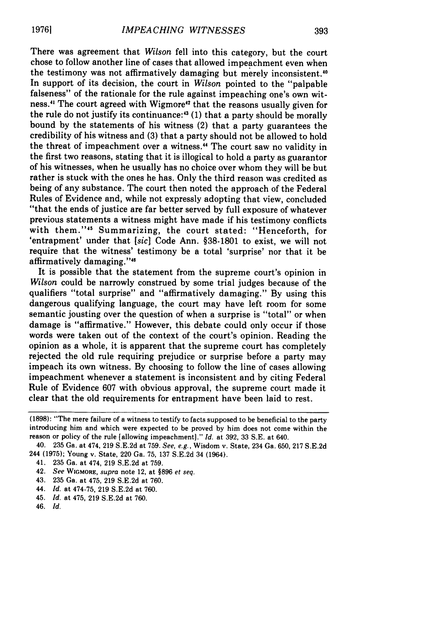There was agreement that *Wilson* fell into this category, but the court chose to follow another line of cases that allowed impeachment even when the testimony was not affirmatively damaging but merely inconsistent.<sup>40</sup> In support of its decision, the court in *Wilson* pointed to the "palpable falseness" of the rationale for the rule against impeaching one's own witness.<sup>41</sup> The court agreed with Wigmore<sup>42</sup> that the reasons usually given for the rule do not justify its continuance:<sup>43</sup> (1) that a party should be morally bound by the statements of his witness (2) that a party guarantees the credibility of his witness and (3) that a party should not be allowed to hold the threat of impeachment over a witness." The court saw no validity in the first two reasons, stating that it is illogical to hold a party as guarantor of his witnesses, when he usually has no choice over whom they will be but rather is stuck with the ones he has. Only the third reason was credited as being of any substance. The court then noted the approach of the Federal Rules of Evidence and, while not expressly adopting that view, concluded "that the ends of justice are far better served by full exposure of whatever previous statements a witness might have made if his testimony conflicts with them."<sup>45</sup> Summarizing, the court stated: "Henceforth, for 'entrapment' under that *[sic]* Code Ann. §38-1801 to exist, we will not require that the witness' testimony be a total 'surprise' nor that it be affirmatively damaging."<sup>46</sup>

It is possible that the statement from the supreme court's opinion in *Wilson* could be narrowly construed by some trial judges because of the qualifiers "total surprise" and "affirmatively damaging." By using this dangerous qualifying language, the court may have left room for some semantic jousting over the question of when a surprise is "total" or when damage is "affirmative." However, this debate could only occur if those words were taken out of the context of the court's opinion. Reading the opinion as a whole, it is apparent that the supreme court has completely rejected the old rule requiring prejudice or surprise before a party may impeach its own witness. By choosing to follow the line of cases allowing impeachment whenever a statement is inconsistent and by citing Federal Rule of Evidence 607 with obvious approval, the supreme court made it clear that the old requirements for entrapment have been laid to rest.

- 44. *Id.* at 474-75, **219 S.E.2d** at **760.**
- 45. *Id.* at 475, **219 S.E.2d** at **760.**
- 46. *Id.*

<sup>(1898): &</sup>quot;The mere failure of a witness to testify to facts supposed to be beneficial to the party introducing him and which were expected to be proved by him does not come within the reason or policy of the rule [allowing impeachment]." *Id.* at 392, 33 S.E. at 640.

<sup>40. 235</sup> Ga. at 474, 219 S.E.2d at 759. *See, e.g.,* Wisdom v. State, 234 Ga. 650, 217 S.E.2d 244 (1975); Young v. State, 220 Ga. 75, 137 **S.E.2d** 34 (1964).

<sup>41.</sup> **235** Ga. at 474, **219 S.E.2d** at **759.**

<sup>42.</sup> *See* **WIGMORE,** supra note 12, at **§896** *et seq.*

<sup>43.</sup> **235** Ga. at 475, **219 S.E.2d** at **760.**